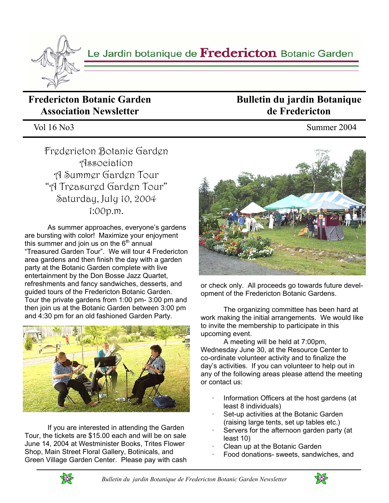

# **Fredericton Botanic Garden Association Newsletter**

Vol 16 No3 Summer 2004

Fredericton Botanic Garden Association A Summer Garden Tour "A Treasured Garden Tour" Saturday, July 10, 2004 1:00p.m.

 As summer approaches, everyone's gardens are bursting with color! Maximize your enjoyment this summer and join us on the  $6<sup>th</sup>$  annual "Treasured Garden Tour". We will tour 4 Fredericton area gardens and then finish the day with a garden party at the Botanic Garden complete with live entertainment by the Don Bosse Jazz Quartet, refreshments and fancy sandwiches, desserts, and guided tours of the Fredericton Botanic Garden. Tour the private gardens from 1:00 pm- 3:00 pm and then join us at the Botanic Garden between 3:00 pm and 4:30 pm for an old fashioned Garden Party.



If you are interested in attending the Garden Tour, the tickets are \$15.00 each and will be on sale June 14, 2004 at Westminister Books, Trites Flower Shop, Main Street Floral Gallery, Botinicals, and Green Village Garden Center. Please pay with cash

**Bulletin du jardin Botanique de Fredericton** 

or check only. All proceeds go towards future development of the Fredericton Botanic Gardens.

 The organizing committee has been hard at work making the initial arrangements. We would like to invite the membership to participate in this upcoming event.

 A meeting will be held at 7:00pm, Wednesday June 30, at the Resource Center to co-ordinate volunteer activity and to finalize the day's activities. If you can volunteer to help out in any of the following areas please attend the meeting or contact us:

- Information Officers at the host gardens (at least 8 individuals)
- Set-up activities at the Botanic Garden (raising large tents, set up tables etc.)
- Servers for the afternoon garden party (at least 10)
- Clean up at the Botanic Garden
- · Food donations- sweets, sandwiches, and



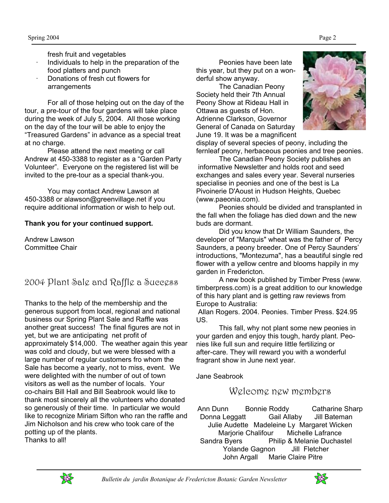- fresh fruit and vegetables
- · Individuals to help in the preparation of the food platters and punch
- · Donations of fresh cut flowers for arrangements

 For all of those helping out on the day of the tour, a pre-tour of the four gardens will take place during the week of July 5, 2004. All those working on the day of the tour will be able to enjoy the "Treasured Gardens" in advance as a special treat at no charge.

 Please attend the next meeting or call Andrew at 450-3388 to register as a "Garden Party Volunteer". Everyone on the registered list will be invited to the pre-tour as a special thank-you.

 You may contact Andrew Lawson at 450-3388 or alawson@greenvillage.net if you require additional information or wish to help out.

### **Thank you for your continued support.**

Andrew Lawson Committee Chair

## 2004 Plant Sale and Raffle a Success

Thanks to the help of the membership and the generous support from local, regional and national business our Spring Plant Sale and Raffle was another great success! The final figures are not in yet, but we are anticipating net profit of approximately \$14,000. The weather again this year was cold and cloudy, but we were blessed with a large number of regular customers fro whom the Sale has become a yearly, not to miss, event. We were delighted with the number of out of town visitors as well as the number of locals. Your co-chairs Bill Hall and Bill Seabrook would like to thank most sincerely all the volunteers who donated so generously of their time. In particular we would like to recognize Miriam Sifton who ran the raffle and Jim Nicholson and his crew who took care of the potting up of the plants. Thanks to all!

 Peonies have been late this year, but they put on a wonderful show anyway.

 The Canadian Peony Society held their 7th Annual Peony Show at Rideau Hall in Ottawa as guests of Hon. Adrienne Clarkson, Governor General of Canada on Saturday June 19. It was be a magnificent



display of several species of peony, including the fernleaf peony, herbaceous peonies and tree peonies.

 The Canadian Peony Society publishes an informative Newsletter and holds root and seed exchanges and sales every year. Several nurseries specialise in peonies and one of the best is La Pivoinerie D'Aoust in Hudson Heights, Quebec (www.paeonia.com).

 Peonies should be divided and transplanted in the fall when the foliage has died down and the new buds are dormant.

 Did you know that Dr William Saunders, the developer of "Marquis" wheat was the father of Percy Saunders, a peony breeder. One of Percy Saunders' introductions, "Montezuma", has a beautiful single red flower with a yellow centre and blooms happily in my garden in Fredericton.

 A new book published by Timber Press (www. timberpress.com) is a great addition to our knowledge of this hary plant and is getting raw reviews from Europe to Australia:

 Allan Rogers. 2004. Peonies. Timber Press. \$24.95 US.

 This fall, why not plant some new peonies in your garden and enjoy this tough, hardy plant. Peonies like full sun and require little fertilizing or after-care. They will reward you with a wonderful fragrant show in June next year.

Jane Seabrook

Welcome new members

Ann Dunn Bonnie Roddy Catharine Sharp Donna Leggatt Gail Allaby Jill Bateman Julie Audette Madeleine Ly Margaret Wicken Marjorie Chalifour Michelle Lafrance Sandra Byers Philip & Melanie Duchastel Yolande Gagnon Jill Fletcher John Argall Marie Claire Pitre



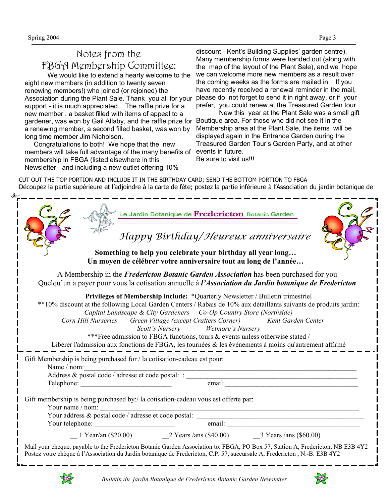# Notes from the FBGA Membership Committee:

 We would like to extend a hearty welcome to the eight new members (in addition to twenty seven renewing members!) who joined (or rejoined) the Association during the Plant Sale. Thank you all for your support - it is much appreciated. The raffle prize for a new member , a basket filled with items of appeal to a gardener, was won by Gail Allaby, and the raffle prize for a renewing member, a second filled basket, was won by long time member Jim Nicholson.

 Congratulations to both! We hope that the new members will take full advantage of the many benefits of membership in FBGA (listed elsewhere in this Newsletter - and including a new outlet offering 10%

discount - Kent's Building Supplies' garden centre). Many membership forms were handed out (along with the map of the layout of the Plant Sale), and we hope we can welcome more new members as a result over the coming weeks as the forms are mailed in. If you have recently received a renewal reminder in the mail, please do not forget to send it in right away, or if your prefer, you could renew at the Treasured Garden tour.

 New this year at the Plant Sale was a small gift Boutique area. For those who did not see it in the Membership area at the Plant Sale, the items will be displayed again in the Entrance Garden during the Treasured Garden Tour's Garden Party, and at other events in future.

Be sure to visit us!!!

CUT OUT THE TOP PORTION AND INCLUDE IT IN THE BIRTHDAY CARD; SEND THE BOTTOM PORTION TO FBGA Découpez la partie supérieure et l'adjoindre à la carte de fête; postez la partie inférieure à l'Association du jardin botanique de